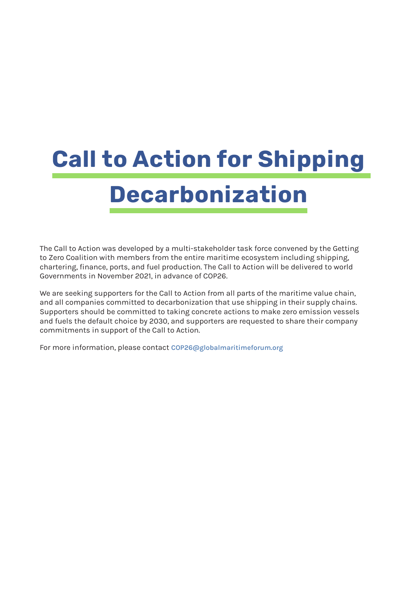# **Call to Action for Shipping Decarbonization**

The Call to Action was developed by a multi-stakeholder task force convened by the Getting to Zero Coalition with members from the entire maritime ecosystem including shipping, chartering, finance, ports, and fuel production. The Call to Action will be delivered to world Governments in November 2021, in advance of COP26.

We are seeking supporters for the Call to Action from all parts of the maritime value chain, and all companies committed to decarbonization that use shipping in their supply chains. Supporters should be committed to taking concrete actions to make zero emission vessels and fuels the default choice by 2030, and supporters are requested to share their company commitments in support of the Call to Action.

For more information, please contact **[COP26@globalmaritimeforum.org](mailto:COP26%40globalmaritimeforum.org?subject=)**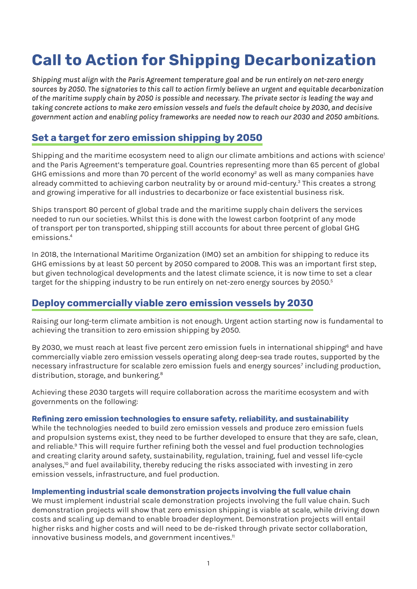# <span id="page-1-0"></span>**Call to Action for Shipping Decarbonization**

*Shipping must align with the Paris Agreement temperature goal and be run entirely on net-zero energy sources by 2050. The signatories to this call to action firmly believe an urgent and equitable decarbonization of the maritime supply chain by 2050 is possible and necessary. The private sector is leading the way and taking concrete actions to make zero emission vessels and fuels the default choice by 2030, and decisive government action and enabling policy frameworks are needed now to reach our 2030 and 2050 ambitions.*

# **Set a target for zero emission shipping by 2050**

Shipping and the maritime ecosystem need to align our climate ambitions and actions with science<sup>[1](#page-6-0)</sup> and the Paris Agreement's temperature goal. Countries representing more than 65 percent of global GHG emissions and more than 70 percent of the world economy<sup>2</sup> as well as many companies have already committed to achieving carbon neutrality by or around mid-century.<sup>[3](#page-6-0)</sup> This creates a strong and growing imperative for all industries to decarbonize or face existential business risk.

Ships transport 80 percent of global trade and the maritime supply chain delivers the services needed to run our societies. Whilst this is done with the lowest carbon footprint of any mode of transport per ton transported, shipping still accounts for about three percent of global GHG emissions.[4](#page-6-0)

In 2018, the International Maritime Organization (IMO) set an ambition for shipping to reduce its GHG emissions by at least 50 percent by 2050 compared to 2008. This was an important first step, but given technological developments and the latest climate science, it is now time to set a clear target for the shipping industry to be run entirely on net-zero energy sources by 20[5](#page-6-0)0.<sup>5</sup>

# **Deploy commercially viable zero emission vessels by 2030**

Raising our long-term climate ambition is not enough. Urgent action starting now is fundamental to achieving the transition to zero emission shipping by 2050.

By 2030, we must reach at least five percent zero emission fuels in international shipping<sup>[6](#page-6-0)</sup> and have commercially viable zero emission vessels operating along deep-sea trade routes, supported by the necessary infrastructure for scalable zero emission fuels and energy sources<sup>[7](#page-6-0)</sup> including production, distribution, storage, and bunkering.<sup>[8](#page-6-0)</sup>

Achieving these 2030 targets will require collaboration across the maritime ecosystem and with governments on the following:

#### **Refining zero emission technologies to ensure safety, reliability, and sustainability**

While the technologies needed to build zero emission vessels and produce zero emission fuels and propulsion systems exist, they need to be further developed to ensure that they are safe, clean, and reliable.<sup>[9](#page-6-0)</sup> This will require further refining both the vessel and fuel production technologies and creating clarity around safety, sustainability, regulation, training, fuel and vessel life-cycle analyses,<sup>10</sup> and fuel availability, thereby reducing the risks associated with investing in zero emission vessels, infrastructure, and fuel production.

#### **Implementing industrial scale demonstration projects involving the full value chain**

We must implement industrial scale demonstration projects involving the full value chain. Such demonstration projects will show that zero emission shipping is viable at scale, while driving down costs and scaling up demand to enable broader deployment. Demonstration projects will entail higher risks and higher costs and will need to be de-risked through private sector collaboration, innovative business models, and government incentives.<sup>[11](#page-6-0)</sup>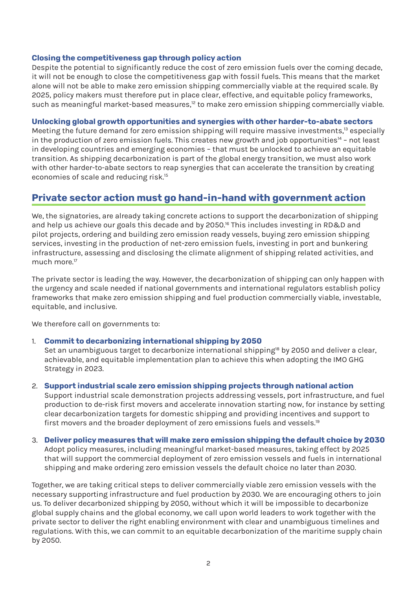#### <span id="page-2-0"></span>**Closing the competitiveness gap through policy action**

Despite the potential to significantly reduce the cost of zero emission fuels over the coming decade, it will not be enough to close the competitiveness gap with fossil fuels. This means that the market alone will not be able to make zero emission shipping commercially viable at the required scale. By 2025, policy makers must therefore put in place clear, effective, and equitable policy frameworks, such as meaningful market-based measures,<sup>12</sup> to make zero emission shipping commercially viable.

#### **Unlocking global growth opportunities and synergies with other harder-to-abate sectors**

Meeting the future demand for zero emission shipping will require massive investments,<sup>13</sup> especially in the production of zero emission fuels. This creates new growth and job opportunities $14$  - not least in developing countries and emerging economies – that must be unlocked to achieve an equitable transition. As shipping decarbonization is part of the global energy transition, we must also work with other harder-to-abate sectors to reap synergies that can accelerate the transition by creating economies of scale and reducing risk[.15](#page-6-0)

# **Private sector action must go hand-in-hand with government action**

We, the signatories, are already taking concrete actions to support the decarbonization of shipping and help us achieve our goals this decade and by 2050.<sup>[16](#page-6-0)</sup> This includes investing in RD&D and pilot projects, ordering and building zero emission ready vessels, buying zero emission shipping services, investing in the production of net-zero emission fuels, investing in port and bunkering infrastructure, assessing and disclosing the climate alignment of shipping related activities, and much more<sup>[17](#page-6-0)</sup>

The private sector is leading the way. However, the decarbonization of shipping can only happen with the urgency and scale needed if national governments and international regulators establish policy frameworks that make zero emission shipping and fuel production commercially viable, investable, equitable, and inclusive.

We therefore call on governments to:

#### 1. **Commit to decarbonizing international shipping by 2050**

Set an unambiguous target to decarbonize international shipping<sup>18</sup> by 2050 and deliver a clear, achievable, and equitable implementation plan to achieve this when adopting the IMO GHG Strategy in 2023.

#### 2. **Support industrial scale zero emission shipping projects through national action**

Support industrial scale demonstration projects addressing vessels, port infrastructure, and fuel production to de-risk first movers and accelerate innovation starting now, for instance by setting clear decarbonization targets for domestic shipping and providing incentives and support to first movers and the broader deployment of zero emissions fuels and vessels.<sup>[19](#page-6-0)</sup>

#### 3. **Deliver policy measures that will make zero emission shipping the default choice by 2030**  Adopt policy measures, including meaningful market-based measures, taking effect by 2025 that will support the commercial deployment of zero emission vessels and fuels in international shipping and make ordering zero emission vessels the default choice no later than 2030.

Together, we are taking critical steps to deliver commercially viable zero emission vessels with the necessary supporting infrastructure and fuel production by 2030. We are encouraging others to join us. To deliver decarbonized shipping by 2050, without which it will be impossible to decarbonize global supply chains and the global economy, we call upon world leaders to work together with the private sector to deliver the right enabling environment with clear and unambiguous timelines and regulations. With this, we can commit to an equitable decarbonization of the maritime supply chain by 2050.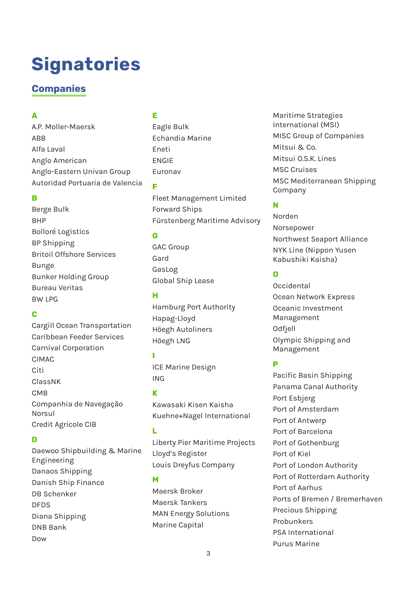# **Signatories**

# **Companies**

#### **A**

A.P. Moller-Maersk ABB Alfa Laval Anglo American Anglo-Eastern Univan Group Autoridad Portuaria de Valencia

### **B**

Berge Bulk BHP Bolloré Logistics BP Shipping Britoil Offshore Services Bunge Bunker Holding Group Bureau Veritas BW LPG

# **C**

Cargill Ocean Transportation Caribbean Feeder Services Carnival Corporation CIMAC Citi ClassNK CMB Companhia de Navegação Norsul Credit Agricole CIB

# **D**

Daewoo Shipbuilding & Marine Engineering Danaos Shipping Danish Ship Finance DB Schenker DFDS Diana Shipping DNB Bank Dow

# **E**

Eagle Bulk Echandia Marine Eneti ENGIE Euronav

**F**

Fleet Management Limited Forward Ships Fürstenberg Maritime Advisory

#### **G**

GAC Group Gard GasLog Global Ship Lease

# **H**

Hamburg Port Authority Hapag-Lloyd Höegh Autoliners Höegh LNG

# **I**

ICE Marine Design ING

# **K**

Kawasaki Kisen Kaisha Kuehne+Nagel International

# **L**

Liberty Pier Maritime Projects Lloyd's Register Louis Dreyfus Company

#### **M**

Maersk Broker Maersk Tankers MAN Energy Solutions Marine Capital

Maritime Strategies International (MSI) MISC Group of Companies Mitsui & Co. Mitsui O.S.K. Lines MSC Cruises MSC Mediterranean Shipping Company

# **N**

Norden Norsepower Northwest Seaport Alliance NYK Line (Nippon Yusen Kabushiki Kaisha)

# **O**

Occidental Ocean Network Express Oceanic Investment Management Odfjell Olympic Shipping and Management

# **P**

Pacific Basin Shipping Panama Canal Authority Port Esbjerg Port of Amsterdam Port of Antwerp Port of Barcelona Port of Gothenburg Port of Kiel Port of London Authority Port of Rotterdam Authority Port of Aarhus Ports of Bremen / Bremerhaven Precious Shipping Probunkers PSA International Purus Marine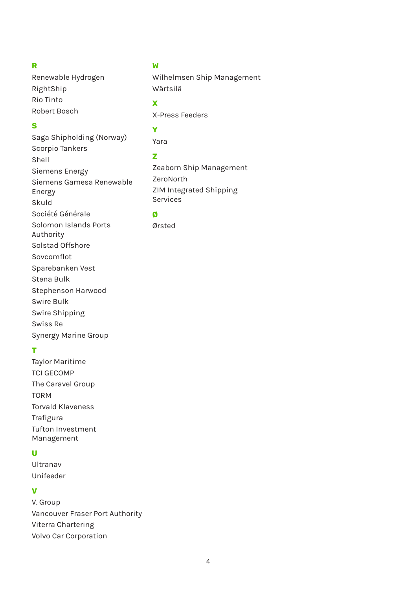#### **R**

Renewable Hydrogen RightShip Rio Tinto Robert Bosch

#### **S**

Saga Shipholding (Norway) Scorpio Tankers Shell Siemens Energy Siemens Gamesa Renewable Energy Skuld Société Générale Solomon Islands Ports Authority Solstad Offshore Sovcomflot Sparebanken Vest Stena Bulk Stephenson Harwood Swire Bulk Swire Shipping Swiss Re

#### **T**

Taylor Maritime TCI GECOMP The Caravel Group TORM Torvald Klaveness Trafigura Tufton Investment Management

Synergy Marine Group

# **U**

Ultranav Unifeeder

### **V**

V. Group Vancouver Fraser Port Authority Viterra Chartering Volvo Car Corporation

# **W**

Wilhelmsen Ship Management Wärtsilä

#### **X**

X-Press Feeders

# **Y**

Yara

#### **Z**

Zeaborn Ship Management ZeroNorth ZIM Integrated Shipping Services

#### **Ø**

Ørsted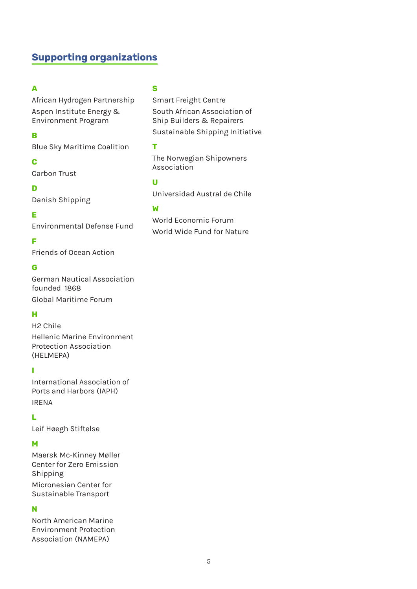# **Supporting organizations**

#### **A**

African Hydrogen Partnership Aspen Institute Energy & Environment Program

#### **B**

Blue Sky Maritime Coalition

#### **C**

Carbon Trust

#### **D**

Danish Shipping

#### **E**

Environmental Defense Fund

#### **F**

Friends of Ocean Action

#### **G**

German Nautical Association founded 1868 Global Maritime Forum

#### **H**

H2 Chile Hellenic Marine Environment Protection Association (HELMEPA)

#### **I**

International Association of Ports and Harbors (IAPH) IRENA

#### **L**

Leif Høegh Stiftelse

#### **M**

Maersk Mc-Kinney Møller Center for Zero Emission Shipping Micronesian Center for Sustainable Transport

#### **N**

North American Marine Environment Protection Association (NAMEPA)

#### **S**

Smart Freight Centre South African Association of Ship Builders & Repairers Sustainable Shipping Initiative

#### **T**

The Norwegian Shipowners Association

# **U**

Universidad Austral de Chile

#### **W**

World Economic Forum World Wide Fund for Nature